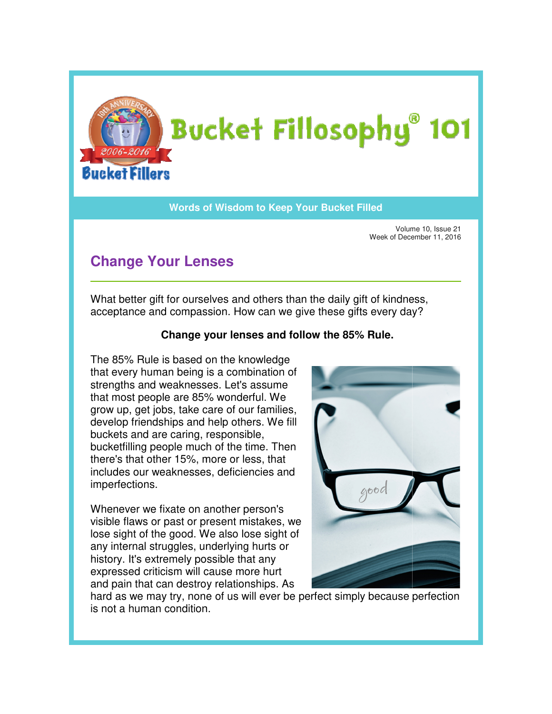

## **Words of Wisdom to Keep Your Bucket Filled Wisdom**

Volume 10, Issue 21 Week of December 11, 2016

## **Change Your Lenses**

What better gift for ourselves and others than the daily gift of kindness, What better gift for ourselves and others than the daily gift of kindness<br>acceptance and compassion. How can we give these gifts every day?

## **Change your lenses and follow the 85% Rule. Rule.**

The 85% Rule is based on the knowledge that every human being is a combination of strengths and weaknesses. Let's assume that most people are 85% wonderful. We grow up, get jobs, take care of our families, develop friendships and help others. We fill buckets and are caring, responsible, bucketfilling people much of the time. Then there's that other 15%, more or less, that includes our weaknesses, deficiencies and imperfections. The 85% Rule is based on the knowledge<br>that every human being is a combination of<br>strengths and weaknesses. Let's assume<br>that most people are 85% wonderful. We<br>grow up, get jobs, take care of our families, bucketfilling people much of the time. Then<br>there's that other 15%, more or less, that<br>includes our weaknesses, deficiencies and<br>imperfections.<br>Whenever we fixate on another person's<br>visible flaws or past or present mistak

Whenever we fixate on another person's visible flaws or past or present mistakes, we lose sight of the good. We also lose sight of any internal struggles, underlying hurts or history. It's extremely possible that any expressed criticism will cause more hurt and pain that can destroy relationships. As



hard as we may try, none of us will ever be perfect simply because perfection is not a human condition.